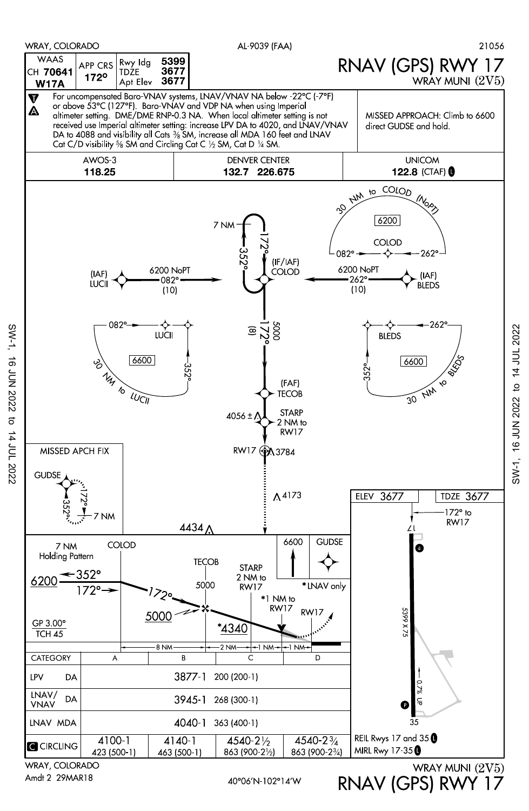

Amdt 2 29MAR18

 $SW-1$ ,

**16 JUN 2022** 

 $\sigma$ 

14 JUL 2022

RNAV (GPS) RWY 17